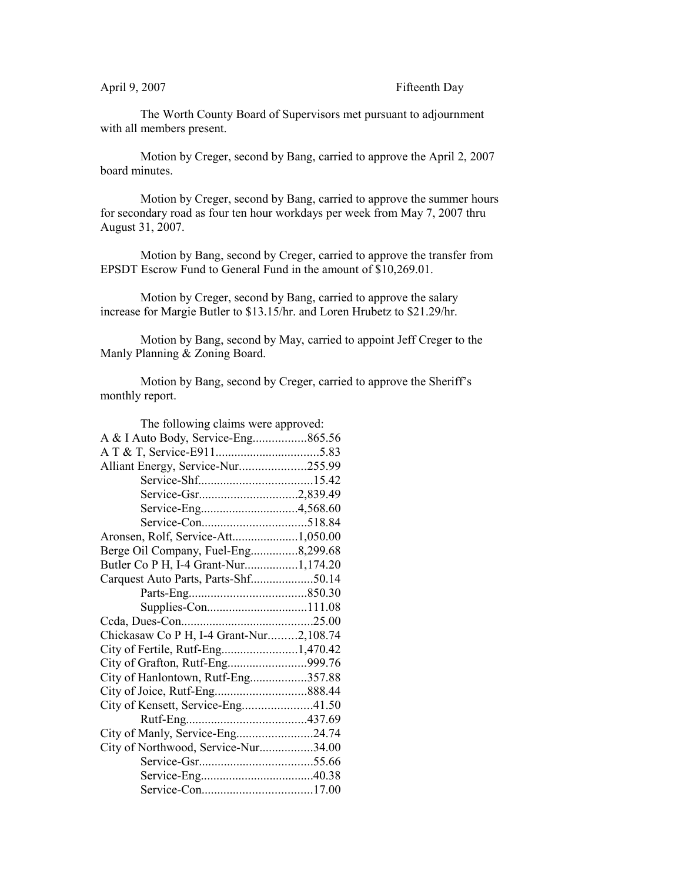The Worth County Board of Supervisors met pursuant to adjournment with all members present.

Motion by Creger, second by Bang, carried to approve the April 2, 2007 board minutes.

Motion by Creger, second by Bang, carried to approve the summer hours for secondary road as four ten hour workdays per week from May 7, 2007 thru August 31, 2007.

Motion by Bang, second by Creger, carried to approve the transfer from EPSDT Escrow Fund to General Fund in the amount of \$10,269.01.

Motion by Creger, second by Bang, carried to approve the salary increase for Margie Butler to \$13.15/hr. and Loren Hrubetz to \$21.29/hr.

Motion by Bang, second by May, carried to appoint Jeff Creger to the Manly Planning & Zoning Board.

Motion by Bang, second by Creger, carried to approve the Sheriff's monthly report.

| The following claims were approved:     |  |
|-----------------------------------------|--|
| A & I Auto Body, Service-Eng865.56      |  |
|                                         |  |
| Alliant Energy, Service-Nur255.99       |  |
|                                         |  |
|                                         |  |
|                                         |  |
|                                         |  |
| Aronsen, Rolf, Service-Att1,050.00      |  |
| Berge Oil Company, Fuel-Eng8,299.68     |  |
| Butler Co P H, I-4 Grant-Nur1,174.20    |  |
|                                         |  |
|                                         |  |
|                                         |  |
|                                         |  |
| Chickasaw Co P H, I-4 Grant-Nur2,108.74 |  |
| City of Fertile, Rutf-Eng1,470.42       |  |
| City of Grafton, Rutf-Eng999.76         |  |
| City of Hanlontown, Rutf-Eng357.88      |  |
|                                         |  |
| City of Kensett, Service-Eng41.50       |  |
|                                         |  |
| City of Manly, Service-Eng24.74         |  |
| City of Northwood, Service-Nur34.00     |  |
|                                         |  |
|                                         |  |
|                                         |  |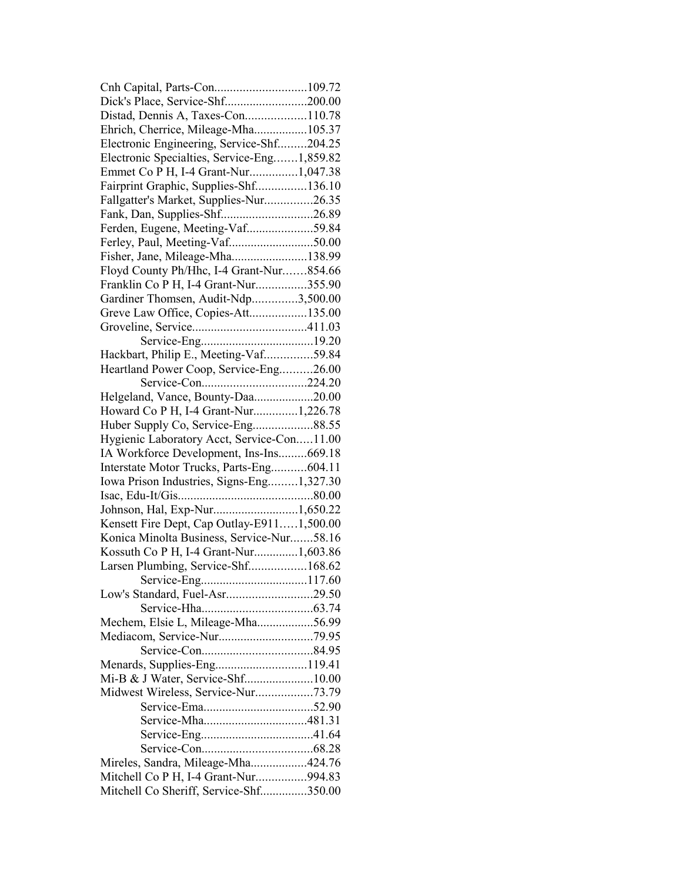| Cnh Capital, Parts-Con109.72                |  |
|---------------------------------------------|--|
| Dick's Place, Service-Shf200.00             |  |
| Distad, Dennis A, Taxes-Con110.78           |  |
| Ehrich, Cherrice, Mileage-Mha105.37         |  |
| Electronic Engineering, Service-Shf204.25   |  |
| Electronic Specialties, Service-Eng1,859.82 |  |
| Emmet Co P H, I-4 Grant-Nur1,047.38         |  |
| Fairprint Graphic, Supplies-Shf136.10       |  |
| Fallgatter's Market, Supplies-Nur26.35      |  |
| Fank, Dan, Supplies-Shf26.89                |  |
| Ferden, Eugene, Meeting-Vaf59.84            |  |
| Ferley, Paul, Meeting-Vaf50.00              |  |
| Fisher, Jane, Mileage-Mha138.99             |  |
| Floyd County Ph/Hhc, I-4 Grant-Nur854.66    |  |
| Franklin Co P H, I-4 Grant-Nur355.90        |  |
| Gardiner Thomsen, Audit-Ndp3,500.00         |  |
| Greve Law Office, Copies-Att135.00          |  |
|                                             |  |
|                                             |  |
| Hackbart, Philip E., Meeting-Vaf59.84       |  |
| Heartland Power Coop, Service-Eng26.00      |  |
|                                             |  |
|                                             |  |
| Helgeland, Vance, Bounty-Daa20.00           |  |
| Howard Co P H, I-4 Grant-Nur1,226.78        |  |
| Huber Supply Co, Service-Eng88.55           |  |
| Hygienic Laboratory Acct, Service-Con11.00  |  |
| IA Workforce Development, Ins-Ins669.18     |  |
| Interstate Motor Trucks, Parts-Eng604.11    |  |
| Iowa Prison Industries, Signs-Eng1,327.30   |  |
|                                             |  |
|                                             |  |
| Kensett Fire Dept, Cap Outlay-E9111,500.00  |  |
| Konica Minolta Business, Service-Nur58.16   |  |
| Kossuth Co P H, I-4 Grant-Nur1,603.86       |  |
| Larsen Plumbing, Service-Shf168.62          |  |
|                                             |  |
| Low's Standard, Fuel-Asr29.50               |  |
|                                             |  |
| Mechem, Elsie L, Mileage-Mha56.99           |  |
|                                             |  |
|                                             |  |
| Menards, Supplies-Eng119.41                 |  |
| Mi-B & J Water, Service-Shf10.00            |  |
| Midwest Wireless, Service-Nur73.79          |  |
|                                             |  |
|                                             |  |
|                                             |  |
|                                             |  |
| Mireles, Sandra, Mileage-Mha424.76          |  |
| Mitchell Co P H, I-4 Grant-Nur994.83        |  |
| Mitchell Co Sheriff, Service-Shf350.00      |  |
|                                             |  |